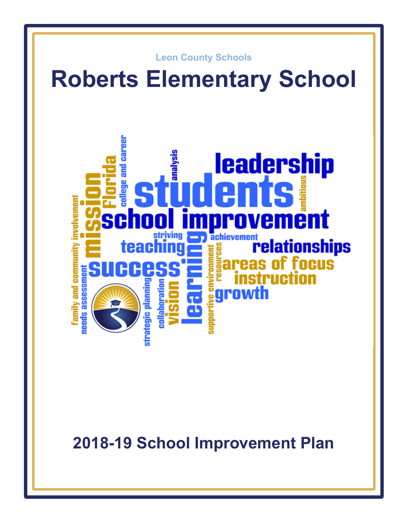

**2018-19 School Improvement Plan**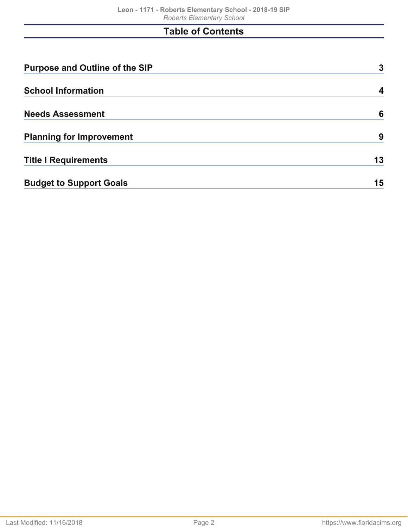# **Table of Contents**

| <b>Purpose and Outline of the SIP</b> | 3  |
|---------------------------------------|----|
| <b>School Information</b>             | 4  |
| <b>Needs Assessment</b>               | 6  |
| <b>Planning for Improvement</b>       | 9  |
| <b>Title I Requirements</b>           | 13 |
| <b>Budget to Support Goals</b>        | 15 |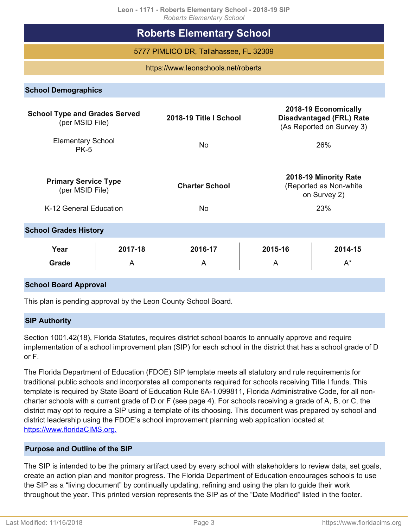|                                                         | <b>Roberts Elementary School</b>       |              |                                                                                      |
|---------------------------------------------------------|----------------------------------------|--------------|--------------------------------------------------------------------------------------|
|                                                         | 5777 PIMLICO DR, Tallahassee, FL 32309 |              |                                                                                      |
|                                                         | https://www.leonschools.net/roberts    |              |                                                                                      |
| <b>School Demographics</b>                              |                                        |              |                                                                                      |
| <b>School Type and Grades Served</b><br>(per MSID File) | 2018-19 Title I School                 |              | 2018-19 Economically<br><b>Disadvantaged (FRL) Rate</b><br>(As Reported on Survey 3) |
| <b>Elementary School</b><br><b>PK-5</b>                 | <b>No</b>                              |              | 26%                                                                                  |
| <b>Primary Service Type</b><br>(per MSID File)          | <b>Charter School</b>                  |              | 2018-19 Minority Rate<br>(Reported as Non-white<br>on Survey 2)                      |
| K-12 General Education                                  | <b>No</b>                              |              | 23%                                                                                  |
| <b>School Grades History</b>                            |                                        |              |                                                                                      |
| Year<br>2017-18<br><b>Grade</b><br>A                    | 2016-17<br>A                           | 2015-16<br>A | 2014-15<br>$A^*$                                                                     |
| <b>School Board Approval</b>                            |                                        |              |                                                                                      |

This plan is pending approval by the Leon County School Board.

### **SIP Authority**

Section 1001.42(18), Florida Statutes, requires district school boards to annually approve and require implementation of a school improvement plan (SIP) for each school in the district that has a school grade of D or F.

The Florida Department of Education (FDOE) SIP template meets all statutory and rule requirements for traditional public schools and incorporates all components required for schools receiving Title I funds. This template is required by State Board of Education Rule 6A-1.099811, Florida Administrative Code, for all noncharter schools with a current grade of D or F (see page 4). For schools receiving a grade of A, B, or C, the district may opt to require a SIP using a template of its choosing. This document was prepared by school and district leadership using the FDOE's school improvement planning web application located at [https://www.floridaCIMS.org.](https://www.floridacims.org)

### <span id="page-2-0"></span>**Purpose and Outline of the SIP**

The SIP is intended to be the primary artifact used by every school with stakeholders to review data, set goals, create an action plan and monitor progress. The Florida Department of Education encourages schools to use the SIP as a "living document" by continually updating, refining and using the plan to guide their work throughout the year. This printed version represents the SIP as of the "Date Modified" listed in the footer.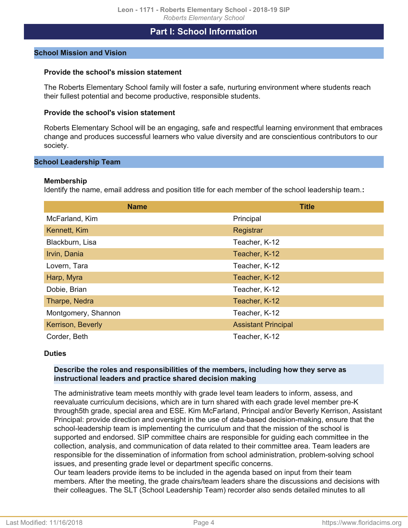## **Part I: School Information**

### <span id="page-3-0"></span>**School Mission and Vision**

### **Provide the school's mission statement**

The Roberts Elementary School family will foster a safe, nurturing environment where students reach their fullest potential and become productive, responsible students.

#### **Provide the school's vision statement**

Roberts Elementary School will be an engaging, safe and respectful learning environment that embraces change and produces successful learners who value diversity and are conscientious contributors to our society.

### **School Leadership Team**

### **Membership**

Identify the name, email address and position title for each member of the school leadership team.**:**

| <b>Name</b>         | <b>Title</b>               |
|---------------------|----------------------------|
| McFarland, Kim      | Principal                  |
| Kennett, Kim        | Registrar                  |
| Blackburn, Lisa     | Teacher, K-12              |
| Irvin, Dania        | Teacher, K-12              |
| Lovern, Tara        | Teacher, K-12              |
| Harp, Myra          | Teacher, K-12              |
| Dobie, Brian        | Teacher, K-12              |
| Tharpe, Nedra       | Teacher, K-12              |
| Montgomery, Shannon | Teacher, K-12              |
| Kerrison, Beverly   | <b>Assistant Principal</b> |
| Corder, Beth        | Teacher, K-12              |

#### **Duties**

### **Describe the roles and responsibilities of the members, including how they serve as instructional leaders and practice shared decision making**

The administrative team meets monthly with grade level team leaders to inform, assess, and reevaluate curriculum decisions, which are in turn shared with each grade level member pre-K through5th grade, special area and ESE. Kim McFarland, Principal and/or Beverly Kerrison, Assistant Principal: provide direction and oversight in the use of data-based decision-making, ensure that the school-leadership team is implementing the curriculum and that the mission of the school is supported and endorsed. SIP committee chairs are responsible for guiding each committee in the collection, analysis, and communication of data related to their committee area. Team leaders are responsible for the dissemination of information from school administration, problem-solving school issues, and presenting grade level or department specific concerns.

Our team leaders provide items to be included in the agenda based on input from their team members. After the meeting, the grade chairs/team leaders share the discussions and decisions with their colleagues. The SLT (School Leadership Team) recorder also sends detailed minutes to all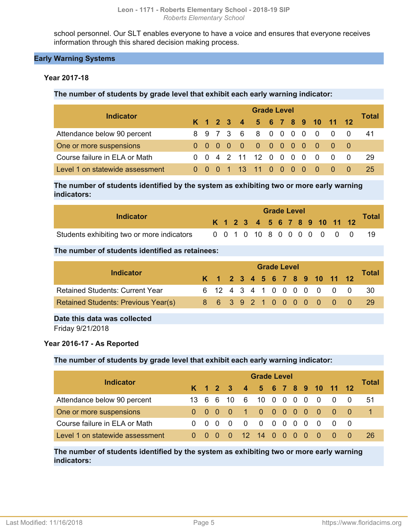school personnel. Our SLT enables everyone to have a voice and ensures that everyone receives information through this shared decision making process.

### **Early Warning Systems**

### **Year 2017-18**

**The number of students by grade level that exhibit each early warning indicator:**

| <b>Indicator</b>                |  | <b>Grade Level</b> |  |  |  |                              |  |  |  |  |     |                                          |  |       |  |
|---------------------------------|--|--------------------|--|--|--|------------------------------|--|--|--|--|-----|------------------------------------------|--|-------|--|
|                                 |  |                    |  |  |  | K 1 2 3 4 5 6 7 8 9 10 11 12 |  |  |  |  |     |                                          |  | Total |  |
| Attendance below 90 percent     |  |                    |  |  |  | 8 9 7 3 6 8 0 0 0 0 0 0 0    |  |  |  |  |     |                                          |  | 41    |  |
| One or more suspensions         |  |                    |  |  |  | 0 0 0 0 0 0 0 0 0 0 0 0      |  |  |  |  |     |                                          |  |       |  |
| Course failure in ELA or Math   |  |                    |  |  |  | 0 0 4 2 11 12 0 0 0 0        |  |  |  |  |     | $0 \quad 0 \quad 0$                      |  | -29   |  |
| Level 1 on statewide assessment |  |                    |  |  |  | 1 13 11 0 0 0 0              |  |  |  |  | - 0 | $\begin{array}{ccc} & & 0 & \end{array}$ |  | 25    |  |

**The number of students identified by the system as exhibiting two or more early warning indicators:**

| Indicator                                  |  | <b>Grade Level</b> |  |  |  |  |  |  |  |  |  |  |                              |              |
|--------------------------------------------|--|--------------------|--|--|--|--|--|--|--|--|--|--|------------------------------|--------------|
|                                            |  |                    |  |  |  |  |  |  |  |  |  |  | K 1 2 3 4 5 6 7 8 9 10 11 12 | <b>Total</b> |
| Students exhibiting two or more indicators |  |                    |  |  |  |  |  |  |  |  |  |  | 0 0 1 0 10 8 0 0 0 0 0 0 0   |              |

### **The number of students identified as retainees:**

| Indicator                                  | <b>Grade Level</b> |  |  |  |  |  |  |  |  |  |                              |  |                            |              |
|--------------------------------------------|--------------------|--|--|--|--|--|--|--|--|--|------------------------------|--|----------------------------|--------------|
|                                            |                    |  |  |  |  |  |  |  |  |  | K 1 2 3 4 5 6 7 8 9 10 11 12 |  |                            | <b>Total</b> |
| <b>Retained Students: Current Year</b>     |                    |  |  |  |  |  |  |  |  |  |                              |  | 6 12 4 3 4 1 0 0 0 0 0 0 0 | - 30         |
| <b>Retained Students: Previous Year(s)</b> |                    |  |  |  |  |  |  |  |  |  | 8 6 3 9 2 1 0 0 0 0 0 0 0    |  |                            | -29          |
|                                            |                    |  |  |  |  |  |  |  |  |  |                              |  |                            |              |

**Date this data was collected**

Friday 9/21/2018

### **Year 2016-17 - As Reported**

### **The number of students by grade level that exhibit each early warning indicator:**

| <b>Indicator</b>                | <b>Grade Level</b> |  |     |                              |          |                   |  |  |                                     |  |                |                                         |  |       |
|---------------------------------|--------------------|--|-----|------------------------------|----------|-------------------|--|--|-------------------------------------|--|----------------|-----------------------------------------|--|-------|
|                                 |                    |  |     | K 1 2 3 4 5 6 7 8 9 10 11 12 |          |                   |  |  |                                     |  |                |                                         |  | Total |
| Attendance below 90 percent     |                    |  |     | 13 6 6 10 6 10 0 0           |          |                   |  |  | $0\quad 0$                          |  | $\overline{0}$ | $\overline{0}$                          |  | 51    |
| One or more suspensions         |                    |  |     | $0\quad 0\quad 0\quad 0$     |          | 1 0 0 0 0 0 0 0 0 |  |  |                                     |  |                |                                         |  |       |
| Course failure in ELA or Math   | $0 \Omega$         |  | - 0 | - റ                          | $\Omega$ |                   |  |  |                                     |  |                | $\begin{matrix} 0 & 0 & 0 \end{matrix}$ |  |       |
| Level 1 on statewide assessment | $0 \quad 0$        |  |     | $\blacktriangle$ 0           |          | 12 14 0 0         |  |  | $\begin{matrix} 0 & 0 \end{matrix}$ |  | - 0            | - 0                                     |  | 26    |

**The number of students identified by the system as exhibiting two or more early warning indicators:**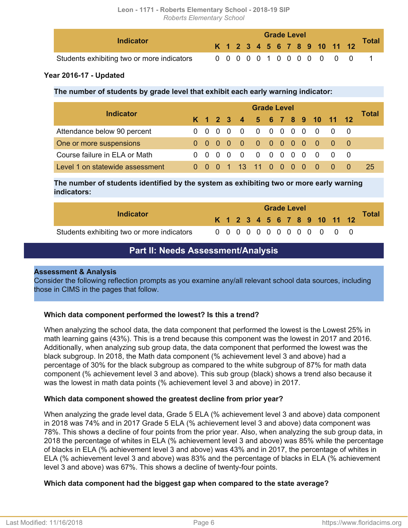| <b>Indicator</b>                           |  |  |  |  | <b>Grade Level</b> |  |                           |                              | <b>Total</b> |
|--------------------------------------------|--|--|--|--|--------------------|--|---------------------------|------------------------------|--------------|
|                                            |  |  |  |  |                    |  |                           | K 1 2 3 4 5 6 7 8 9 10 11 12 |              |
| Students exhibiting two or more indicators |  |  |  |  |                    |  | 0 0 0 0 0 1 0 0 0 0 0 0 0 |                              |              |

### **Year 2016-17 - Updated**

**The number of students by grade level that exhibit each early warning indicator:**

| <b>Indicator</b>                | <b>Grade Level</b> |             |                                     |  |                          |                                                                            |                                                        |  |  |  |                                     |                                        |  |       |
|---------------------------------|--------------------|-------------|-------------------------------------|--|--------------------------|----------------------------------------------------------------------------|--------------------------------------------------------|--|--|--|-------------------------------------|----------------------------------------|--|-------|
|                                 |                    |             |                                     |  |                          |                                                                            |                                                        |  |  |  |                                     | K 1 2 3 4 5 6 7 8 9 10 11 12           |  | Total |
| Attendance below 90 percent     |                    | $0 \quad 0$ | $\begin{matrix} 0 & 0 \end{matrix}$ |  |                          | $\begin{array}{ccccccccccccccccc} & 0 & 0 & 0 & 0 & 0 & 0 & 0 \end{array}$ |                                                        |  |  |  | $0\quad 0$                          |                                        |  |       |
| One or more suspensions         |                    |             |                                     |  |                          |                                                                            |                                                        |  |  |  |                                     | 0000000000000                          |  |       |
| Course failure in ELA or Math   |                    |             |                                     |  | $0\quad 0\quad 0\quad 0$ |                                                                            |                                                        |  |  |  | $\begin{matrix} 0 & 0 \end{matrix}$ |                                        |  |       |
| Level 1 on statewide assessment |                    |             |                                     |  | 1 13 11                  |                                                                            | $\begin{array}{ccccccccc}\n0 & 0 & 0 & 0\n\end{array}$ |  |  |  | - 0                                 | $\begin{array}{ccc} 0 & 0 \end{array}$ |  | 25    |

**The number of students identified by the system as exhibiting two or more early warning indicators:**

| Indicator                                  |  | <b>Grade Level</b> |  |  |  |  |  |  |  |  |  |                              |       |
|--------------------------------------------|--|--------------------|--|--|--|--|--|--|--|--|--|------------------------------|-------|
|                                            |  |                    |  |  |  |  |  |  |  |  |  | K 1 2 3 4 5 6 7 8 9 10 11 12 | Total |
| Students exhibiting two or more indicators |  |                    |  |  |  |  |  |  |  |  |  | 0 0 0 0 0 0 0 0 0 0 0 0 0    |       |

## **Part II: Needs Assessment/Analysis**

### <span id="page-5-0"></span>**Assessment & Analysis**

Consider the following reflection prompts as you examine any/all relevant school data sources, including those in CIMS in the pages that follow.

### **Which data component performed the lowest? Is this a trend?**

When analyzing the school data, the data component that performed the lowest is the Lowest 25% in math learning gains (43%). This is a trend because this component was the lowest in 2017 and 2016. Additionally, when analyzing sub group data, the data component that performed the lowest was the black subgroup. In 2018, the Math data component (% achievement level 3 and above) had a percentage of 30% for the black subgroup as compared to the white subgroup of 87% for math data component (% achievement level 3 and above). This sub group (black) shows a trend also because it was the lowest in math data points (% achievement level 3 and above) in 2017.

### **Which data component showed the greatest decline from prior year?**

When analyzing the grade level data, Grade 5 ELA (% achievement level 3 and above) data component in 2018 was 74% and in 2017 Grade 5 ELA (% achievement level 3 and above) data component was 78%. This shows a decline of four points from the prior year. Also, when analyzing the sub group data, in 2018 the percentage of whites in ELA (% achievement level 3 and above) was 85% while the percentage of blacks in ELA (% achievement level 3 and above) was 43% and in 2017, the percentage of whites in ELA (% achievement level 3 and above) was 83% and the percentage of blacks in ELA (% achievement level 3 and above) was 67%. This shows a decline of twenty-four points.

### **Which data component had the biggest gap when compared to the state average?**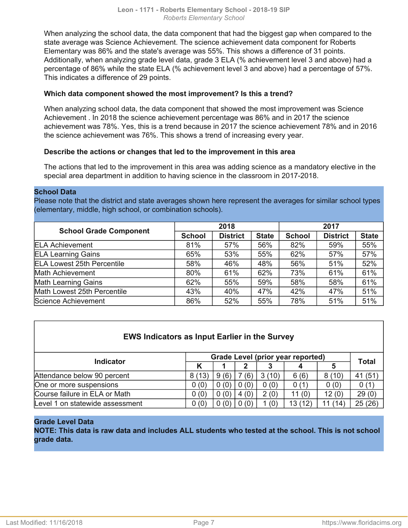When analyzing the school data, the data component that had the biggest gap when compared to the state average was Science Achievement. The science achievement data component for Roberts Elementary was 86% and the state's average was 55%. This shows a difference of 31 points. Additionally, when analyzing grade level data, grade 3 ELA (% achievement level 3 and above) had a percentage of 86% while the state ELA (% achievement level 3 and above) had a percentage of 57%. This indicates a difference of 29 points.

### **Which data component showed the most improvement? Is this a trend?**

When analyzing school data, the data component that showed the most improvement was Science Achievement . In 2018 the science achievement percentage was 86% and in 2017 the science achievement was 78%. Yes, this is a trend because in 2017 the science achievement 78% and in 2016 the science achievement was 76%. This shows a trend of increasing every year.

### **Describe the actions or changes that led to the improvement in this area**

The actions that led to the improvement in this area was adding science as a mandatory elective in the special area department in addition to having science in the classroom in 2017-2018.

### **School Data**

Please note that the district and state averages shown here represent the averages for similar school types (elementary, middle, high school, or combination schools).

|                                   |               | 2018            |              | 2017          |                 |              |  |  |  |  |
|-----------------------------------|---------------|-----------------|--------------|---------------|-----------------|--------------|--|--|--|--|
| <b>School Grade Component</b>     | <b>School</b> | <b>District</b> | <b>State</b> | <b>School</b> | <b>District</b> | <b>State</b> |  |  |  |  |
| <b>ELA Achievement</b>            | 81%           | 57%             | 56%          | 82%           | 59%             | 55%          |  |  |  |  |
| <b>ELA Learning Gains</b>         | 65%           | 53%             | 55%          | 62%           | 57%             | 57%          |  |  |  |  |
| <b>ELA Lowest 25th Percentile</b> | 58%           | 46%             | 48%          | 56%           | 51%             | 52%          |  |  |  |  |
| Math Achievement                  | 80%           | 61%             | 62%          | 73%           | 61%             | 61%          |  |  |  |  |
| <b>Math Learning Gains</b>        | 62%           | 55%             | 59%          | 58%           | 58%             | 61%          |  |  |  |  |
| Math Lowest 25th Percentile       | 43%           | 40%             | 47%          | 42%           | 47%             | 51%          |  |  |  |  |
| Science Achievement               | 86%           | 52%             | 55%          | 78%           | 51%             | 51%          |  |  |  |  |

| <b>EWS Indicators as Input Earlier in the Survey</b> |       |      |      |       |                                   |        |              |  |  |  |  |  |  |
|------------------------------------------------------|-------|------|------|-------|-----------------------------------|--------|--------------|--|--|--|--|--|--|
| <b>Indicator</b>                                     |       |      |      |       | Grade Level (prior year reported) |        | <b>Total</b> |  |  |  |  |  |  |
|                                                      |       |      |      |       |                                   |        |              |  |  |  |  |  |  |
| Attendance below 90 percent                          | 8(13) | 9(6) | (6)  | 3(10) | 6(6)                              | 8(10)  | 41 (51)      |  |  |  |  |  |  |
| One or more suspensions                              | 0(0)  | 0(0) | (0)  | 0(0)  | 0(1)                              | 0(0)   | 0(1)         |  |  |  |  |  |  |
| Course failure in ELA or Math                        | 0(0)  | 0(0) | 4(0) | 2(0)  | 11(0)                             | 12(0)  | 29(0)        |  |  |  |  |  |  |
| Level 1 on statewide assessment                      | 0(0)  | 0(0) | 0(0) | 1(0)  | 13 (12)                           | 1 (14) | 25(26)       |  |  |  |  |  |  |

### **Grade Level Data**

**NOTE: This data is raw data and includes ALL students who tested at the school. This is not school grade data.**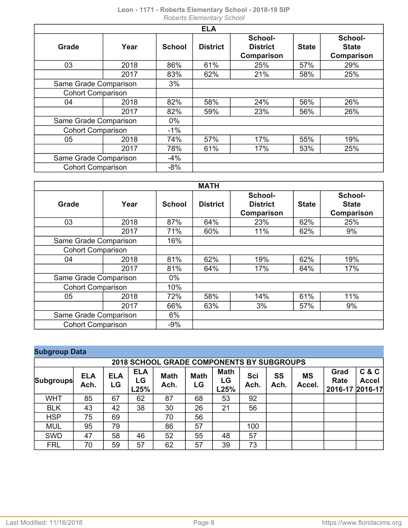| <b>ELA</b>               |      |               |                 |                                          |              |                                              |
|--------------------------|------|---------------|-----------------|------------------------------------------|--------------|----------------------------------------------|
| Grade                    | Year | <b>School</b> | <b>District</b> | School-<br><b>District</b><br>Comparison | <b>State</b> | School-<br><b>State</b><br><b>Comparison</b> |
| 03                       | 2018 | 86%           | 61%             | 25%                                      | 57%          | 29%                                          |
|                          | 2017 | 83%           | 62%             | 21%                                      | 58%          | 25%                                          |
| Same Grade Comparison    |      | 3%            |                 |                                          |              |                                              |
| <b>Cohort Comparison</b> |      |               |                 |                                          |              |                                              |
| 04                       | 2018 | 82%           | 58%             | 24%                                      | 56%          | 26%                                          |
|                          | 2017 | 82%           | 59%             | 23%                                      | 56%          | 26%                                          |
| Same Grade Comparison    |      | $0\%$         |                 |                                          |              |                                              |
| <b>Cohort Comparison</b> |      | $-1\%$        |                 |                                          |              |                                              |
| 05                       | 2018 | 74%           | 57%             | 17%                                      | 55%          | 19%                                          |
|                          | 2017 | 78%           | 61%             | 17%                                      | 53%          | 25%                                          |
| Same Grade Comparison    |      | $-4%$         |                 |                                          |              |                                              |
| <b>Cohort Comparison</b> |      | $-8%$         |                 |                                          |              |                                              |

| <b>MATH</b>              |                       |               |                 |                            |              |                         |
|--------------------------|-----------------------|---------------|-----------------|----------------------------|--------------|-------------------------|
| Grade                    | Year                  | <b>School</b> | <b>District</b> | School-<br><b>District</b> | <b>State</b> | School-<br><b>State</b> |
|                          |                       |               |                 | Comparison                 |              | <b>Comparison</b>       |
| 03                       | 2018                  | 87%           | 64%             | 23%                        | 62%          | 25%                     |
|                          | 2017                  | 71%           | 60%             | 11%                        | 62%          | 9%                      |
|                          | Same Grade Comparison |               |                 |                            |              |                         |
| <b>Cohort Comparison</b> |                       |               |                 |                            |              |                         |
| 04                       | 2018                  | 81%           | 62%             | 19%                        | 62%          | 19%                     |
|                          | 2017                  | 81%           | 64%             | 17%                        | 64%          | 17%                     |
| Same Grade Comparison    |                       | $0\%$         |                 |                            |              |                         |
| <b>Cohort Comparison</b> |                       | 10%           |                 |                            |              |                         |
| 05                       | 2018                  | 72%           | 58%             | 14%                        | 61%          | 11%                     |
|                          | 2017                  | 66%           | 63%             | 3%                         | 57%          | 9%                      |
| Same Grade Comparison    |                       | 6%            |                 |                            |              |                         |
| <b>Cohort Comparison</b> |                       | $-9%$         |                 |                            |              |                         |

|  |  | <b>Subgroup Data</b> |
|--|--|----------------------|
|  |  |                      |

| <b>2018 SCHOOL GRADE COMPONENTS BY SUBGROUPS</b> |                    |                  |                          |                     |                   |                           |                    |                   |                     |                                 |                       |
|--------------------------------------------------|--------------------|------------------|--------------------------|---------------------|-------------------|---------------------------|--------------------|-------------------|---------------------|---------------------------------|-----------------------|
| <b>Subgroups</b>                                 | <b>ELA</b><br>Ach. | <b>ELA</b><br>LG | <b>ELA</b><br>LG<br>L25% | <b>Math</b><br>Ach. | <b>Math</b><br>LG | <b>Math</b><br>LG<br>L25% | <b>Sci</b><br>Ach. | <b>SS</b><br>Ach. | <b>MS</b><br>Accel. | Grad<br>Rate<br>2016-17 2016-17 | C & C<br><b>Accel</b> |
| <b>WHT</b>                                       | 85                 | 67               | 62                       | 87                  | 68                | 53                        | 92                 |                   |                     |                                 |                       |
| <b>BLK</b>                                       | 43                 | 42               | 38                       | 30                  | 26                | 21                        | 56                 |                   |                     |                                 |                       |
| <b>HSP</b>                                       | 75                 | 69               |                          | 70                  | 56                |                           |                    |                   |                     |                                 |                       |
| <b>MUL</b>                                       | 95                 | 79               |                          | 86                  | 57                |                           | 100                |                   |                     |                                 |                       |
| <b>SWD</b>                                       | 47                 | 58               | 46                       | 52                  | 55                | 48                        | 57                 |                   |                     |                                 |                       |
| <b>FRL</b>                                       | 70                 | 59               | 57                       | 62                  | 57                | 39                        | 73                 |                   |                     |                                 |                       |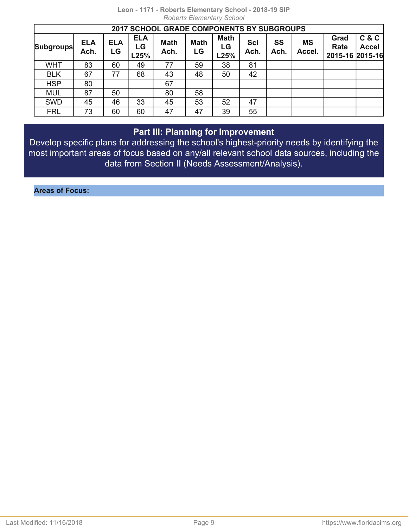| 2017 SCHOOL GRADE COMPONENTS BY SUBGROUPS |                    |                  |                          |                     |                   |                           |             |            |                     |                                 |                       |
|-------------------------------------------|--------------------|------------------|--------------------------|---------------------|-------------------|---------------------------|-------------|------------|---------------------|---------------------------------|-----------------------|
| <b>Subgroups</b>                          | <b>ELA</b><br>Ach. | <b>ELA</b><br>LG | <b>ELA</b><br>LG<br>L25% | <b>Math</b><br>Ach. | <b>Math</b><br>LG | <b>Math</b><br>LG<br>L25% | Sci<br>Ach. | SS<br>Ach. | <b>MS</b><br>Accel. | Grad<br>Rate<br>2015-16 2015-16 | C & C<br><b>Accel</b> |
| <b>WHT</b>                                | 83                 | 60               | 49                       | 77                  | 59                | 38                        | 81          |            |                     |                                 |                       |
| <b>BLK</b>                                | 67                 | 77               | 68                       | 43                  | 48                | 50                        | 42          |            |                     |                                 |                       |
| <b>HSP</b>                                | 80                 |                  |                          | 67                  |                   |                           |             |            |                     |                                 |                       |
| <b>MUL</b>                                | 87                 | 50               |                          | 80                  | 58                |                           |             |            |                     |                                 |                       |
| <b>SWD</b>                                | 45                 | 46               | 33                       | 45                  | 53                | 52                        | 47          |            |                     |                                 |                       |
| <b>FRL</b>                                | 73                 | 60               | 60                       | 47                  | 47                | 39                        | 55          |            |                     |                                 |                       |

## **Part III: Planning for Improvement**

<span id="page-8-0"></span>Develop specific plans for addressing the school's highest-priority needs by identifying the most important areas of focus based on any/all relevant school data sources, including the data from Section II (Needs Assessment/Analysis).

**Areas of Focus:**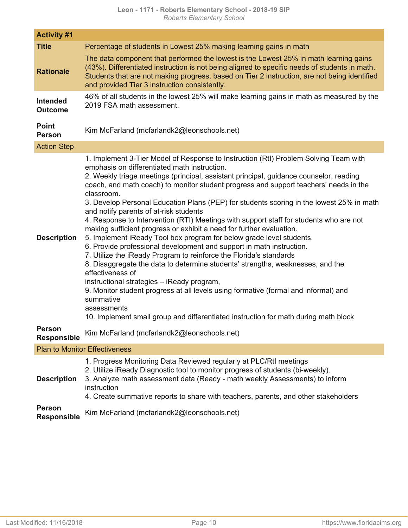| <b>Activity #1</b>                  |                                                                                                                                                                                                                                                                                                                                                                                                                                                                                                                                                                                                                                                                                                                                                                                                                                                                                                                                                                                                                                                                                                                                                                                                                                   |
|-------------------------------------|-----------------------------------------------------------------------------------------------------------------------------------------------------------------------------------------------------------------------------------------------------------------------------------------------------------------------------------------------------------------------------------------------------------------------------------------------------------------------------------------------------------------------------------------------------------------------------------------------------------------------------------------------------------------------------------------------------------------------------------------------------------------------------------------------------------------------------------------------------------------------------------------------------------------------------------------------------------------------------------------------------------------------------------------------------------------------------------------------------------------------------------------------------------------------------------------------------------------------------------|
| <b>Title</b>                        | Percentage of students in Lowest 25% making learning gains in math                                                                                                                                                                                                                                                                                                                                                                                                                                                                                                                                                                                                                                                                                                                                                                                                                                                                                                                                                                                                                                                                                                                                                                |
| <b>Rationale</b>                    | The data component that performed the lowest is the Lowest 25% in math learning gains<br>(43%). Differentiated instruction is not being aligned to specific needs of students in math.<br>Students that are not making progress, based on Tier 2 instruction, are not being identified<br>and provided Tier 3 instruction consistently.                                                                                                                                                                                                                                                                                                                                                                                                                                                                                                                                                                                                                                                                                                                                                                                                                                                                                           |
| <b>Intended</b><br><b>Outcome</b>   | 46% of all students in the lowest 25% will make learning gains in math as measured by the<br>2019 FSA math assessment.                                                                                                                                                                                                                                                                                                                                                                                                                                                                                                                                                                                                                                                                                                                                                                                                                                                                                                                                                                                                                                                                                                            |
| <b>Point</b><br><b>Person</b>       | Kim McFarland (mcfarlandk2@leonschools.net)                                                                                                                                                                                                                                                                                                                                                                                                                                                                                                                                                                                                                                                                                                                                                                                                                                                                                                                                                                                                                                                                                                                                                                                       |
| <b>Action Step</b>                  |                                                                                                                                                                                                                                                                                                                                                                                                                                                                                                                                                                                                                                                                                                                                                                                                                                                                                                                                                                                                                                                                                                                                                                                                                                   |
| <b>Description</b>                  | 1. Implement 3-Tier Model of Response to Instruction (RtI) Problem Solving Team with<br>emphasis on differentiated math instruction.<br>2. Weekly triage meetings (principal, assistant principal, guidance counselor, reading<br>coach, and math coach) to monitor student progress and support teachers' needs in the<br>classroom.<br>3. Develop Personal Education Plans (PEP) for students scoring in the lowest 25% in math<br>and notify parents of at-risk students<br>4. Response to Intervention (RTI) Meetings with support staff for students who are not<br>making sufficient progress or exhibit a need for further evaluation.<br>5. Implement iReady Tool box program for below grade level students.<br>6. Provide professional development and support in math instruction.<br>7. Utilize the iReady Program to reinforce the Florida's standards<br>8. Disaggregate the data to determine students' strengths, weaknesses, and the<br>effectiveness of<br>instructional strategies - iReady program,<br>9. Monitor student progress at all levels using formative (formal and informal) and<br>summative<br>assessments<br>10. Implement small group and differentiated instruction for math during math block |
| <b>Person</b><br><b>Responsible</b> | Kim McFarland (mcfarlandk2@leonschools.net)                                                                                                                                                                                                                                                                                                                                                                                                                                                                                                                                                                                                                                                                                                                                                                                                                                                                                                                                                                                                                                                                                                                                                                                       |
|                                     | <b>Plan to Monitor Effectiveness</b>                                                                                                                                                                                                                                                                                                                                                                                                                                                                                                                                                                                                                                                                                                                                                                                                                                                                                                                                                                                                                                                                                                                                                                                              |
| <b>Description</b>                  | 1. Progress Monitoring Data Reviewed regularly at PLC/RtI meetings<br>2. Utilize iReady Diagnostic tool to monitor progress of students (bi-weekly).<br>3. Analyze math assessment data (Ready - math weekly Assessments) to inform<br>instruction<br>4. Create summative reports to share with teachers, parents, and other stakeholders                                                                                                                                                                                                                                                                                                                                                                                                                                                                                                                                                                                                                                                                                                                                                                                                                                                                                         |
| <b>Person</b><br><b>Responsible</b> | Kim McFarland (mcfarlandk2@leonschools.net)                                                                                                                                                                                                                                                                                                                                                                                                                                                                                                                                                                                                                                                                                                                                                                                                                                                                                                                                                                                                                                                                                                                                                                                       |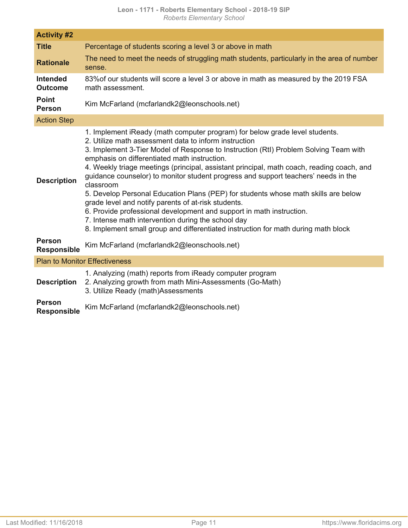| <b>Activity #2</b>                  |                                                                                                                                                                                                                                                                                                                                                                                                                                                                                                                                                                                                                                                                                                                                                                                                                                               |
|-------------------------------------|-----------------------------------------------------------------------------------------------------------------------------------------------------------------------------------------------------------------------------------------------------------------------------------------------------------------------------------------------------------------------------------------------------------------------------------------------------------------------------------------------------------------------------------------------------------------------------------------------------------------------------------------------------------------------------------------------------------------------------------------------------------------------------------------------------------------------------------------------|
| <b>Title</b>                        | Percentage of students scoring a level 3 or above in math                                                                                                                                                                                                                                                                                                                                                                                                                                                                                                                                                                                                                                                                                                                                                                                     |
| <b>Rationale</b>                    | The need to meet the needs of struggling math students, particularly in the area of number<br>sense.                                                                                                                                                                                                                                                                                                                                                                                                                                                                                                                                                                                                                                                                                                                                          |
| <b>Intended</b><br><b>Outcome</b>   | 83% of our students will score a level 3 or above in math as measured by the 2019 FSA<br>math assessment.                                                                                                                                                                                                                                                                                                                                                                                                                                                                                                                                                                                                                                                                                                                                     |
| <b>Point</b><br><b>Person</b>       | Kim McFarland (mcfarlandk2@leonschools.net)                                                                                                                                                                                                                                                                                                                                                                                                                                                                                                                                                                                                                                                                                                                                                                                                   |
| <b>Action Step</b>                  |                                                                                                                                                                                                                                                                                                                                                                                                                                                                                                                                                                                                                                                                                                                                                                                                                                               |
| <b>Description</b>                  | 1. Implement iReady (math computer program) for below grade level students.<br>2. Utilize math assessment data to inform instruction<br>3. Implement 3-Tier Model of Response to Instruction (RtI) Problem Solving Team with<br>emphasis on differentiated math instruction.<br>4. Weekly triage meetings (principal, assistant principal, math coach, reading coach, and<br>guidance counselor) to monitor student progress and support teachers' needs in the<br>classroom<br>5. Develop Personal Education Plans (PEP) for students whose math skills are below<br>grade level and notify parents of at-risk students.<br>6. Provide professional development and support in math instruction.<br>7. Intense math intervention during the school day<br>8. Implement small group and differentiated instruction for math during math block |
| <b>Person</b><br><b>Responsible</b> | Kim McFarland (mcfarlandk2@leonschools.net)                                                                                                                                                                                                                                                                                                                                                                                                                                                                                                                                                                                                                                                                                                                                                                                                   |
|                                     | <b>Plan to Monitor Effectiveness</b>                                                                                                                                                                                                                                                                                                                                                                                                                                                                                                                                                                                                                                                                                                                                                                                                          |
| <b>Description</b>                  | 1. Analyzing (math) reports from iReady computer program<br>2. Analyzing growth from math Mini-Assessments (Go-Math)<br>3. Utilize Ready (math)Assessments                                                                                                                                                                                                                                                                                                                                                                                                                                                                                                                                                                                                                                                                                    |
| <b>Person</b><br><b>Responsible</b> | Kim McFarland (mcfarlandk2@leonschools.net)                                                                                                                                                                                                                                                                                                                                                                                                                                                                                                                                                                                                                                                                                                                                                                                                   |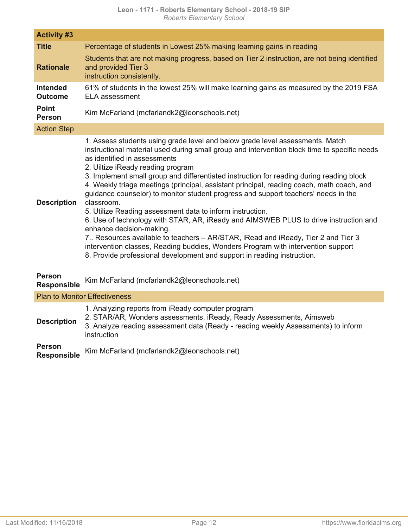| <b>Activity #3</b>                  |                                                                                                                                                                                                                                                                                                                                                                                                                                                                                                                                                                                                                                                                                                                                                                                                                                                                                                                                                                                      |
|-------------------------------------|--------------------------------------------------------------------------------------------------------------------------------------------------------------------------------------------------------------------------------------------------------------------------------------------------------------------------------------------------------------------------------------------------------------------------------------------------------------------------------------------------------------------------------------------------------------------------------------------------------------------------------------------------------------------------------------------------------------------------------------------------------------------------------------------------------------------------------------------------------------------------------------------------------------------------------------------------------------------------------------|
| <b>Title</b>                        | Percentage of students in Lowest 25% making learning gains in reading                                                                                                                                                                                                                                                                                                                                                                                                                                                                                                                                                                                                                                                                                                                                                                                                                                                                                                                |
| <b>Rationale</b>                    | Students that are not making progress, based on Tier 2 instruction, are not being identified<br>and provided Tier 3<br>instruction consistently.                                                                                                                                                                                                                                                                                                                                                                                                                                                                                                                                                                                                                                                                                                                                                                                                                                     |
| <b>Intended</b><br><b>Outcome</b>   | 61% of students in the lowest 25% will make learning gains as measured by the 2019 FSA<br><b>ELA</b> assessment                                                                                                                                                                                                                                                                                                                                                                                                                                                                                                                                                                                                                                                                                                                                                                                                                                                                      |
| <b>Point</b><br><b>Person</b>       | Kim McFarland (mcfarlandk2@leonschools.net)                                                                                                                                                                                                                                                                                                                                                                                                                                                                                                                                                                                                                                                                                                                                                                                                                                                                                                                                          |
| <b>Action Step</b>                  |                                                                                                                                                                                                                                                                                                                                                                                                                                                                                                                                                                                                                                                                                                                                                                                                                                                                                                                                                                                      |
| <b>Description</b>                  | 1. Assess students using grade level and below grade level assessments. Match<br>instructional material used during small group and intervention block time to specific needs<br>as identified in assessments<br>2. Uiltize iReady reading program<br>3. Implement small group and differentiated instruction for reading during reading block<br>4. Weekly triage meetings (principal, assistant principal, reading coach, math coach, and<br>guidance counselor) to monitor student progress and support teachers' needs in the<br>classroom.<br>5. Utilize Reading assessment data to inform instruction.<br>6. Use of technology with STAR, AR, iReady and AIMSWEB PLUS to drive instruction and<br>enhance decision-making.<br>7. Resources available to teachers – AR/STAR, iRead and iReady, Tier 2 and Tier 3<br>intervention classes, Reading buddies, Wonders Program with intervention support<br>8. Provide professional development and support in reading instruction. |
| <b>Person</b><br><b>Responsible</b> | Kim McFarland (mcfarlandk2@leonschools.net)                                                                                                                                                                                                                                                                                                                                                                                                                                                                                                                                                                                                                                                                                                                                                                                                                                                                                                                                          |
|                                     | <b>Plan to Monitor Effectiveness</b>                                                                                                                                                                                                                                                                                                                                                                                                                                                                                                                                                                                                                                                                                                                                                                                                                                                                                                                                                 |
| <b>Description</b>                  | 1. Analyzing reports from iReady computer program<br>2. STAR/AR, Wonders assessments, iReady, Ready Assessments, Aimsweb<br>3. Analyze reading assessment data (Ready - reading weekly Assessments) to inform<br>instruction                                                                                                                                                                                                                                                                                                                                                                                                                                                                                                                                                                                                                                                                                                                                                         |

**Person** Kim McFarland (mcfarlandk2@leonschools.net)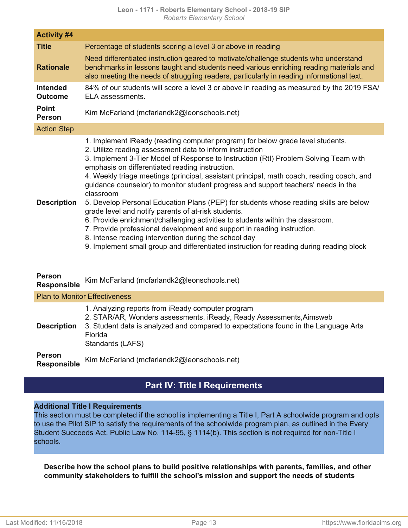| <b>Activity #4</b>                |                                                                                                                                                                                                                                                                                                                                                                                                                                                                                                                                                                                                                                                                                                                                                                                                                                                                                                                                                         |
|-----------------------------------|---------------------------------------------------------------------------------------------------------------------------------------------------------------------------------------------------------------------------------------------------------------------------------------------------------------------------------------------------------------------------------------------------------------------------------------------------------------------------------------------------------------------------------------------------------------------------------------------------------------------------------------------------------------------------------------------------------------------------------------------------------------------------------------------------------------------------------------------------------------------------------------------------------------------------------------------------------|
| <b>Title</b>                      | Percentage of students scoring a level 3 or above in reading                                                                                                                                                                                                                                                                                                                                                                                                                                                                                                                                                                                                                                                                                                                                                                                                                                                                                            |
| <b>Rationale</b>                  | Need differentiated instruction geared to motivate/challenge students who understand<br>benchmarks in lessons taught and students need various enriching reading materials and<br>also meeting the needs of struggling readers, particularly in reading informational text.                                                                                                                                                                                                                                                                                                                                                                                                                                                                                                                                                                                                                                                                             |
| <b>Intended</b><br><b>Outcome</b> | 84% of our students will score a level 3 or above in reading as measured by the 2019 FSA/<br>ELA assessments.                                                                                                                                                                                                                                                                                                                                                                                                                                                                                                                                                                                                                                                                                                                                                                                                                                           |
| <b>Point</b><br><b>Person</b>     | Kim McFarland (mcfarlandk2@leonschools.net)                                                                                                                                                                                                                                                                                                                                                                                                                                                                                                                                                                                                                                                                                                                                                                                                                                                                                                             |
| <b>Action Step</b>                |                                                                                                                                                                                                                                                                                                                                                                                                                                                                                                                                                                                                                                                                                                                                                                                                                                                                                                                                                         |
| <b>Description</b>                | 1. Implement iReady (reading computer program) for below grade level students.<br>2. Utilize reading assessment data to inform instruction<br>3. Implement 3-Tier Model of Response to Instruction (RtI) Problem Solving Team with<br>emphasis on differentiated reading instruction.<br>4. Weekly triage meetings (principal, assistant principal, math coach, reading coach, and<br>guidance counselor) to monitor student progress and support teachers' needs in the<br>classroom<br>5. Develop Personal Education Plans (PEP) for students whose reading skills are below<br>grade level and notify parents of at-risk students.<br>6. Provide enrichment/challenging activities to students within the classroom.<br>7. Provide professional development and support in reading instruction.<br>8. Intense reading intervention during the school day<br>9. Implement small group and differentiated instruction for reading during reading block |

### **Person**

**Responsible** Kim McFarland (mcfarlandk2@leonschools.net)

### Plan to Monitor Effectiveness **Description** 1. Analyzing reports from iReady computer program 2. STAR/AR, Wonders assessments, iReady, Ready Assessments,Aimsweb 3. Student data is analyzed and compared to expectations found in the Language Arts Florida Standards (LAFS) **Person**

**Responsible** Kim McFarland (mcfarlandk2@leonschools.net)

## **Part IV: Title I Requirements**

### <span id="page-12-0"></span>**Additional Title I Requirements**

This section must be completed if the school is implementing a Title I, Part A schoolwide program and opts to use the Pilot SIP to satisfy the requirements of the schoolwide program plan, as outlined in the Every Student Succeeds Act, Public Law No. 114-95, § 1114(b). This section is not required for non-Title I schools.

**Describe how the school plans to build positive relationships with parents, families, and other community stakeholders to fulfill the school's mission and support the needs of students**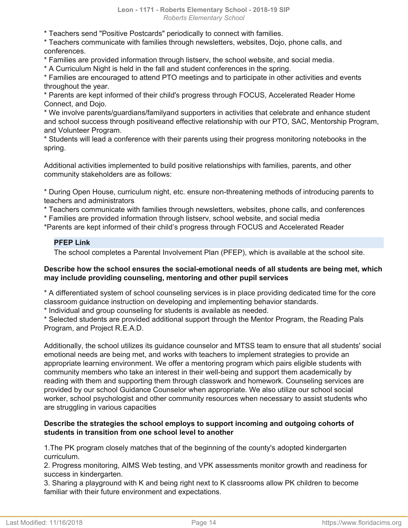\* Teachers send "Positive Postcards" periodically to connect with families.

\* Teachers communicate with families through newsletters, websites, Dojo, phone calls, and conferences.

\* Families are provided information through listserv, the school website, and social media.

\* A Curriculum Night is held in the fall and student conferences in the spring.

\* Families are encouraged to attend PTO meetings and to participate in other activities and events throughout the year.

\* Parents are kept informed of their child's progress through FOCUS, Accelerated Reader Home Connect, and Dojo.

\* We involve parents/guardians/familyand supporters in activities that celebrate and enhance student and school success through positiveand effective relationship with our PTO, SAC, Mentorship Program, and Volunteer Program.

\* Students will lead a conference with their parents using their progress monitoring notebooks in the spring.

Additional activities implemented to build positive relationships with families, parents, and other community stakeholders are as follows:

\* During Open House, curriculum night, etc. ensure non-threatening methods of introducing parents to teachers and administrators

\* Teachers communicate with families through newsletters, websites, phone calls, and conferences

\* Families are provided information through listserv, school website, and social media

\*Parents are kept informed of their child's progress through FOCUS and Accelerated Reader

### **PFEP Link**

The school completes a Parental Involvement Plan (PFEP), which is available at the school site.

### **Describe how the school ensures the social-emotional needs of all students are being met, which may include providing counseling, mentoring and other pupil services**

\* A differentiated system of school counseling services is in place providing dedicated time for the core classroom guidance instruction on developing and implementing behavior standards.

\* Individual and group counseling for students is available as needed.

\* Selected students are provided additional support through the Mentor Program, the Reading Pals Program, and Project R.E.A.D.

Additionally, the school utilizes its guidance counselor and MTSS team to ensure that all students' social emotional needs are being met, and works with teachers to implement strategies to provide an appropriate learning environment. We offer a mentoring program which pairs eligible students with community members who take an interest in their well-being and support them academically by reading with them and supporting them through classwork and homework. Counseling services are provided by our school Guidance Counselor when appropriate. We also utilize our school social worker, school psychologist and other community resources when necessary to assist students who are struggling in various capacities

### **Describe the strategies the school employs to support incoming and outgoing cohorts of students in transition from one school level to another**

1.The PK program closely matches that of the beginning of the county's adopted kindergarten curriculum.

2. Progress monitoring, AIMS Web testing, and VPK assessments monitor growth and readiness for success in kindergarten.

3. Sharing a playground with K and being right next to K classrooms allow PK children to become familiar with their future environment and expectations.